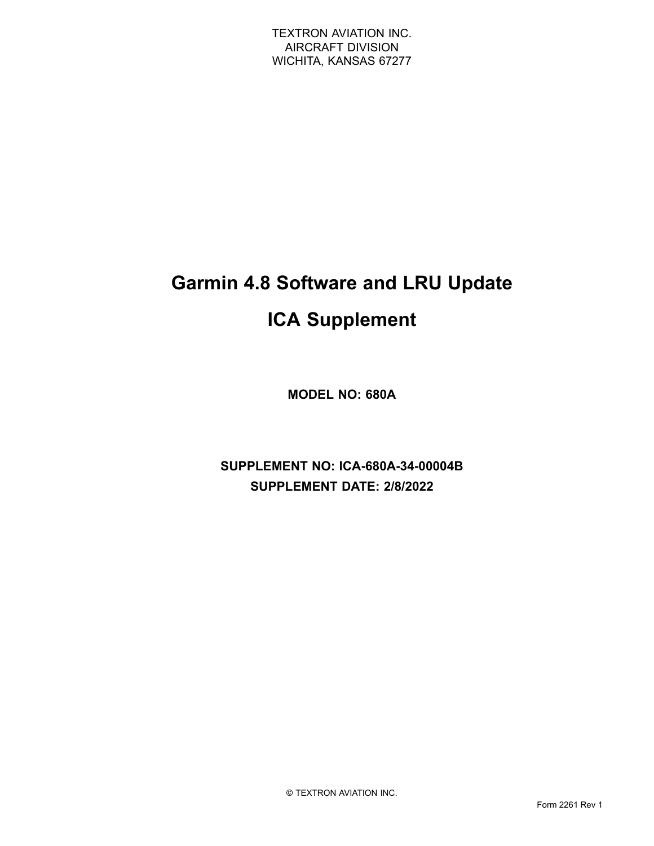# **Garmin 4.8 Software and LRU Update ICA Supplement**

**MODEL NO: 680A**

**SUPPLEMENT NO: ICA-680A-34-00004B SUPPLEMENT DATE: 2/8/2022**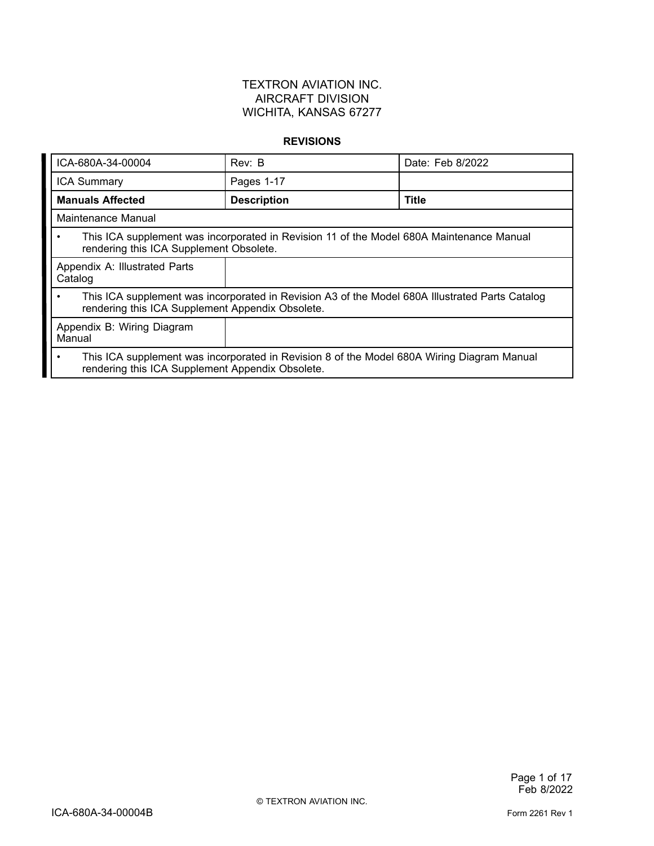#### **REVISIONS**

| ICA-680A-34-00004                                                                                                                                                | Rev: B                                                                                   | Date: Feb 8/2022 |  |
|------------------------------------------------------------------------------------------------------------------------------------------------------------------|------------------------------------------------------------------------------------------|------------------|--|
| <b>ICA Summary</b>                                                                                                                                               | Pages 1-17                                                                               |                  |  |
| <b>Manuals Affected</b>                                                                                                                                          | <b>Description</b>                                                                       | <b>Title</b>     |  |
| Maintenance Manual                                                                                                                                               |                                                                                          |                  |  |
| $\bullet$<br>rendering this ICA Supplement Obsolete.                                                                                                             | This ICA supplement was incorporated in Revision 11 of the Model 680A Maintenance Manual |                  |  |
| Appendix A: Illustrated Parts<br>Catalog                                                                                                                         |                                                                                          |                  |  |
| This ICA supplement was incorporated in Revision A3 of the Model 680A Illustrated Parts Catalog<br>$\bullet$<br>rendering this ICA Supplement Appendix Obsolete. |                                                                                          |                  |  |
| Appendix B: Wiring Diagram<br>Manual                                                                                                                             |                                                                                          |                  |  |
| This ICA supplement was incorporated in Revision 8 of the Model 680A Wiring Diagram Manual<br>$\bullet$<br>rendering this ICA Supplement Appendix Obsolete.      |                                                                                          |                  |  |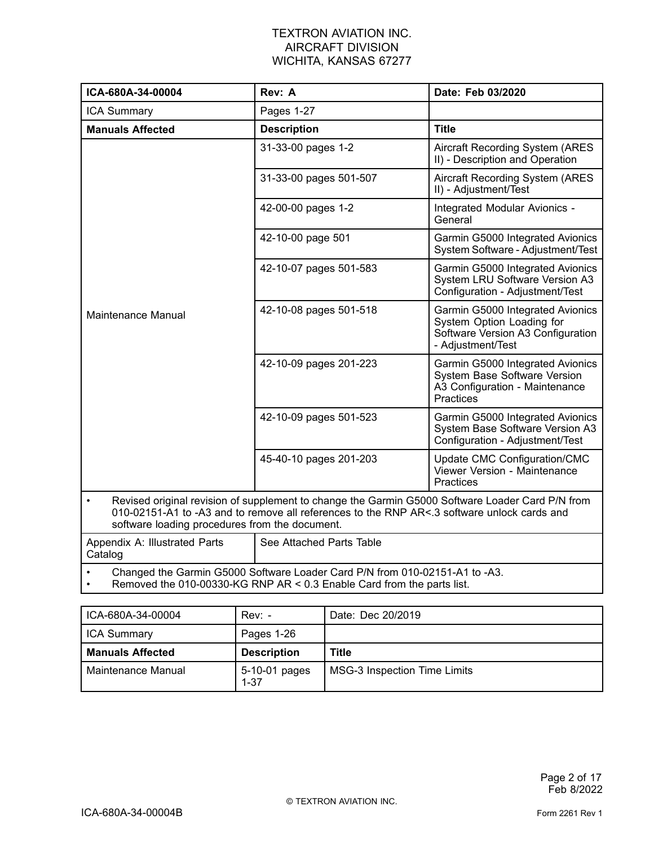| ICA-680A-34-00004                                                                                                                                                                                                                                              | Rev: A<br>Date: Feb 03/2020                                                                                                                           |                                                                                                                         |
|----------------------------------------------------------------------------------------------------------------------------------------------------------------------------------------------------------------------------------------------------------------|-------------------------------------------------------------------------------------------------------------------------------------------------------|-------------------------------------------------------------------------------------------------------------------------|
| <b>ICA Summary</b>                                                                                                                                                                                                                                             | Pages 1-27                                                                                                                                            |                                                                                                                         |
| <b>Manuals Affected</b>                                                                                                                                                                                                                                        | <b>Description</b>                                                                                                                                    | <b>Title</b>                                                                                                            |
|                                                                                                                                                                                                                                                                | 31-33-00 pages 1-2                                                                                                                                    | <b>Aircraft Recording System (ARES)</b><br>II) - Description and Operation                                              |
|                                                                                                                                                                                                                                                                | 31-33-00 pages 501-507                                                                                                                                | Aircraft Recording System (ARES<br>II) - Adjustment/Test                                                                |
|                                                                                                                                                                                                                                                                | 42-00-00 pages 1-2                                                                                                                                    | Integrated Modular Avionics -<br>General                                                                                |
|                                                                                                                                                                                                                                                                | 42-10-00 page 501                                                                                                                                     | Garmin G5000 Integrated Avionics<br>System Software - Adjustment/Test                                                   |
|                                                                                                                                                                                                                                                                | 42-10-07 pages 501-583                                                                                                                                | Garmin G5000 Integrated Avionics<br>System LRU Software Version A3<br>Configuration - Adjustment/Test                   |
| Maintenance Manual                                                                                                                                                                                                                                             | 42-10-08 pages 501-518                                                                                                                                | Garmin G5000 Integrated Avionics<br>System Option Loading for<br>Software Version A3 Configuration<br>- Adjustment/Test |
|                                                                                                                                                                                                                                                                | 42-10-09 pages 201-223                                                                                                                                | Garmin G5000 Integrated Avionics<br>System Base Software Version<br>A3 Configuration - Maintenance<br>Practices         |
|                                                                                                                                                                                                                                                                | 42-10-09 pages 501-523                                                                                                                                | Garmin G5000 Integrated Avionics<br>System Base Software Version A3<br>Configuration - Adjustment/Test                  |
|                                                                                                                                                                                                                                                                | 45-40-10 pages 201-203                                                                                                                                | Update CMC Configuration/CMC<br>Viewer Version - Maintenance<br>Practices                                               |
| Revised original revision of supplement to change the Garmin G5000 Software Loader Card P/N from<br>$\bullet$<br>010-02151-A1 to -A3 and to remove all references to the RNP AR<.3 software unlock cards and<br>software loading procedures from the document. |                                                                                                                                                       |                                                                                                                         |
| Appendix A: Illustrated Parts<br>Catalog                                                                                                                                                                                                                       | See Attached Parts Table                                                                                                                              |                                                                                                                         |
|                                                                                                                                                                                                                                                                | Changed the Garmin G5000 Software Loader Card P/N from 010-02151-A1 to -A3.<br>Removed the 010-00330-KG RNP AR < 0.3 Enable Card from the parts list. |                                                                                                                         |

| ICA-680A-34-00004       | $Rev: -$                  | Date: Dec 20/2019                   |
|-------------------------|---------------------------|-------------------------------------|
| <b>ICA Summary</b>      | Pages 1-26                |                                     |
| <b>Manuals Affected</b> | <b>Description</b>        | <b>Title</b>                        |
| Maintenance Manual      | 5-10-01 pages<br>$1 - 37$ | <b>MSG-3 Inspection Time Limits</b> |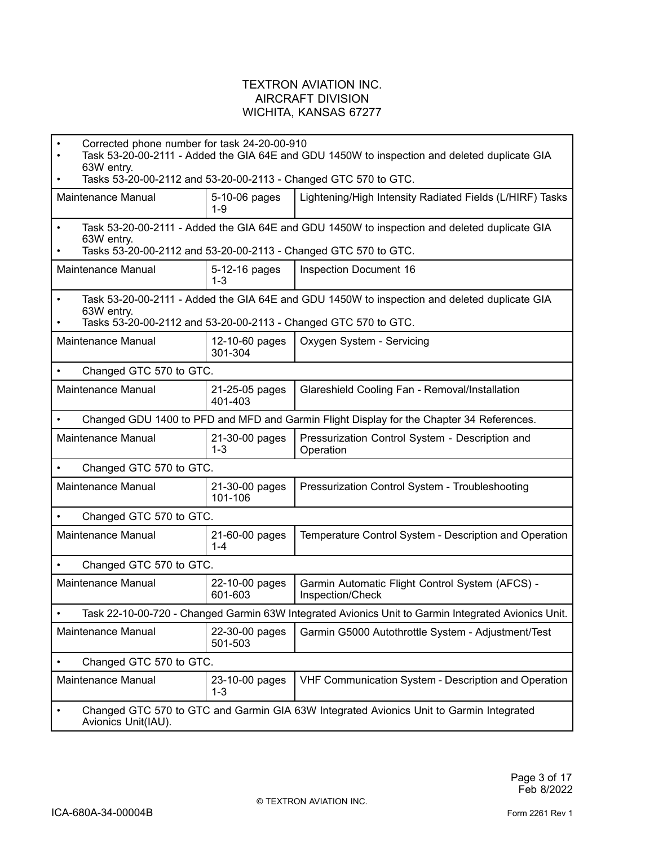|           | Corrected phone number for task 24-20-00-910<br>Task 53-20-00-2111 - Added the GIA 64E and GDU 1450W to inspection and deleted duplicate GIA<br>63W entry.                    |                           |                                                                                                                                                                 |  |
|-----------|-------------------------------------------------------------------------------------------------------------------------------------------------------------------------------|---------------------------|-----------------------------------------------------------------------------------------------------------------------------------------------------------------|--|
|           | Tasks 53-20-00-2112 and 53-20-00-2113 - Changed GTC 570 to GTC.                                                                                                               |                           |                                                                                                                                                                 |  |
|           | Maintenance Manual                                                                                                                                                            | 5-10-06 pages<br>1-9      | Lightening/High Intensity Radiated Fields (L/HIRF) Tasks                                                                                                        |  |
| $\bullet$ | Task 53-20-00-2111 - Added the GIA 64E and GDU 1450W to inspection and deleted duplicate GIA<br>63W entry.<br>Tasks 53-20-00-2112 and 53-20-00-2113 - Changed GTC 570 to GTC. |                           |                                                                                                                                                                 |  |
|           | Maintenance Manual                                                                                                                                                            | 5-12-16 pages<br>$1 - 3$  | Inspection Document 16                                                                                                                                          |  |
| $\bullet$ | 63W entry.                                                                                                                                                                    |                           | Task 53-20-00-2111 - Added the GIA 64E and GDU 1450W to inspection and deleted duplicate GIA<br>Tasks 53-20-00-2112 and 53-20-00-2113 - Changed GTC 570 to GTC. |  |
|           | Maintenance Manual                                                                                                                                                            | 12-10-60 pages<br>301-304 | Oxygen System - Servicing                                                                                                                                       |  |
| $\bullet$ | Changed GTC 570 to GTC.                                                                                                                                                       |                           |                                                                                                                                                                 |  |
|           | Maintenance Manual                                                                                                                                                            | 21-25-05 pages<br>401-403 | Glareshield Cooling Fan - Removal/Installation                                                                                                                  |  |
|           |                                                                                                                                                                               |                           | Changed GDU 1400 to PFD and MFD and Garmin Flight Display for the Chapter 34 References.                                                                        |  |
|           | Maintenance Manual                                                                                                                                                            | 21-30-00 pages<br>$1 - 3$ | Pressurization Control System - Description and<br>Operation                                                                                                    |  |
|           | Changed GTC 570 to GTC.                                                                                                                                                       |                           |                                                                                                                                                                 |  |
|           | Maintenance Manual                                                                                                                                                            | 21-30-00 pages<br>101-106 | Pressurization Control System - Troubleshooting                                                                                                                 |  |
|           | Changed GTC 570 to GTC.                                                                                                                                                       |                           |                                                                                                                                                                 |  |
|           | Maintenance Manual                                                                                                                                                            | 21-60-00 pages<br>$1 - 4$ | Temperature Control System - Description and Operation                                                                                                          |  |
|           | Changed GTC 570 to GTC.                                                                                                                                                       |                           |                                                                                                                                                                 |  |
|           | Maintenance Manual                                                                                                                                                            | 22-10-00 pages<br>601-603 | Garmin Automatic Flight Control System (AFCS) -<br>Inspection/Check                                                                                             |  |
|           | Task 22-10-00-720 - Changed Garmin 63W Integrated Avionics Unit to Garmin Integrated Avionics Unit.                                                                           |                           |                                                                                                                                                                 |  |
|           | Maintenance Manual                                                                                                                                                            | 22-30-00 pages<br>501-503 | Garmin G5000 Autothrottle System - Adjustment/Test                                                                                                              |  |
|           | Changed GTC 570 to GTC.                                                                                                                                                       |                           |                                                                                                                                                                 |  |
|           | Maintenance Manual                                                                                                                                                            | 23-10-00 pages<br>$1 - 3$ | VHF Communication System - Description and Operation                                                                                                            |  |
|           | Changed GTC 570 to GTC and Garmin GIA 63W Integrated Avionics Unit to Garmin Integrated<br>Avionics Unit(IAU).                                                                |                           |                                                                                                                                                                 |  |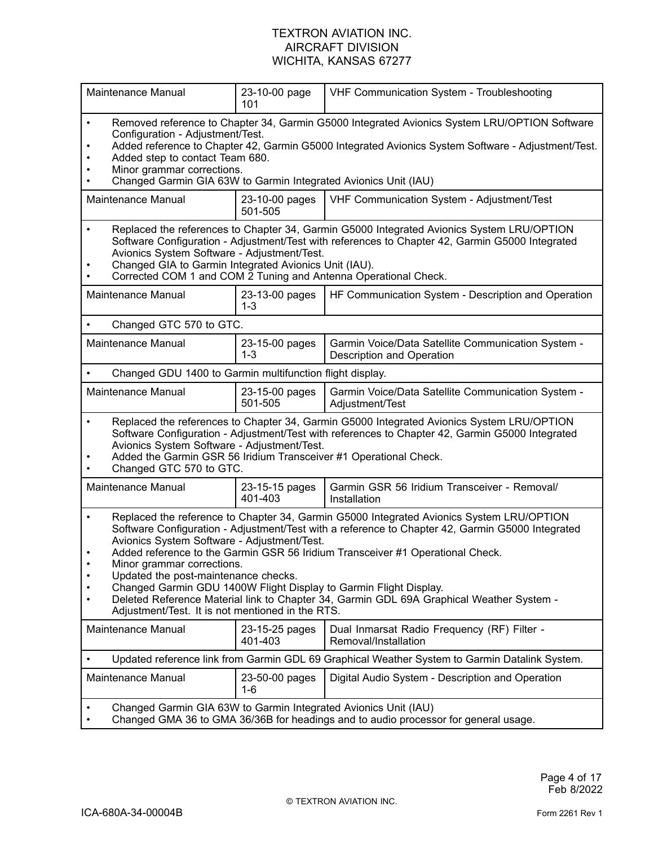| Maintenance Manual                                                                                                                                                                                                                                                                                                                                                                                                                                                                                                                                                                                                                                 | 23-10-00 page<br>101      | VHF Communication System - Troubleshooting                                                    |
|----------------------------------------------------------------------------------------------------------------------------------------------------------------------------------------------------------------------------------------------------------------------------------------------------------------------------------------------------------------------------------------------------------------------------------------------------------------------------------------------------------------------------------------------------------------------------------------------------------------------------------------------------|---------------------------|-----------------------------------------------------------------------------------------------|
| Removed reference to Chapter 34, Garmin G5000 Integrated Avionics System LRU/OPTION Software<br>$\bullet$<br>Configuration - Adjustment/Test.<br>Added reference to Chapter 42, Garmin G5000 Integrated Avionics System Software - Adjustment/Test.<br>Added step to contact Team 680.<br>Minor grammar corrections.<br>Changed Garmin GIA 63W to Garmin Integrated Avionics Unit (IAU)                                                                                                                                                                                                                                                            |                           |                                                                                               |
| Maintenance Manual                                                                                                                                                                                                                                                                                                                                                                                                                                                                                                                                                                                                                                 | 23-10-00 pages<br>501-505 | VHF Communication System - Adjustment/Test                                                    |
| Replaced the references to Chapter 34, Garmin G5000 Integrated Avionics System LRU/OPTION<br>$\bullet$<br>Software Configuration - Adjustment/Test with references to Chapter 42, Garmin G5000 Integrated<br>Avionics System Software - Adjustment/Test.<br>Changed GIA to Garmin Integrated Avionics Unit (IAU).<br>Corrected COM 1 and COM 2 Tuning and Antenna Operational Check.                                                                                                                                                                                                                                                               |                           |                                                                                               |
| Maintenance Manual                                                                                                                                                                                                                                                                                                                                                                                                                                                                                                                                                                                                                                 | 23-13-00 pages<br>$1 - 3$ | HF Communication System - Description and Operation                                           |
| Changed GTC 570 to GTC.                                                                                                                                                                                                                                                                                                                                                                                                                                                                                                                                                                                                                            |                           |                                                                                               |
| <b>Maintenance Manual</b>                                                                                                                                                                                                                                                                                                                                                                                                                                                                                                                                                                                                                          | 23-15-00 pages<br>$1 - 3$ | Garmin Voice/Data Satellite Communication System -<br>Description and Operation               |
| Changed GDU 1400 to Garmin multifunction flight display.                                                                                                                                                                                                                                                                                                                                                                                                                                                                                                                                                                                           |                           |                                                                                               |
| Maintenance Manual                                                                                                                                                                                                                                                                                                                                                                                                                                                                                                                                                                                                                                 | 23-15-00 pages<br>501-505 | Garmin Voice/Data Satellite Communication System -<br>Adjustment/Test                         |
| Replaced the references to Chapter 34, Garmin G5000 Integrated Avionics System LRU/OPTION<br>$\bullet$<br>Software Configuration - Adjustment/Test with references to Chapter 42, Garmin G5000 Integrated<br>Avionics System Software - Adjustment/Test.<br>Added the Garmin GSR 56 Iridium Transceiver #1 Operational Check.<br>Changed GTC 570 to GTC.                                                                                                                                                                                                                                                                                           |                           |                                                                                               |
| Maintenance Manual                                                                                                                                                                                                                                                                                                                                                                                                                                                                                                                                                                                                                                 | 23-15-15 pages<br>401-403 | Garmin GSR 56 Iridium Transceiver - Removal/<br>Installation                                  |
| Replaced the reference to Chapter 34, Garmin G5000 Integrated Avionics System LRU/OPTION<br>$\bullet$<br>Software Configuration - Adjustment/Test with a reference to Chapter 42, Garmin G5000 Integrated<br>Avionics System Software - Adjustment/Test.<br>Added reference to the Garmin GSR 56 Iridium Transceiver #1 Operational Check.<br>$\bullet$<br>Minor grammar corrections.<br>Updated the post-maintenance checks.<br>Changed Garmin GDU 1400W Flight Display to Garmin Flight Display.<br>Deleted Reference Material link to Chapter 34, Garmin GDL 69A Graphical Weather System -<br>Adjustment/Test. It is not mentioned in the RTS. |                           |                                                                                               |
| Maintenance Manual                                                                                                                                                                                                                                                                                                                                                                                                                                                                                                                                                                                                                                 | 23-15-25 pages<br>401-403 | Dual Inmarsat Radio Frequency (RF) Filter -<br>Removal/Installation                           |
|                                                                                                                                                                                                                                                                                                                                                                                                                                                                                                                                                                                                                                                    |                           | Updated reference link from Garmin GDL 69 Graphical Weather System to Garmin Datalink System. |
| <b>Maintenance Manual</b>                                                                                                                                                                                                                                                                                                                                                                                                                                                                                                                                                                                                                          | 23-50-00 pages<br>$1 - 6$ | Digital Audio System - Description and Operation                                              |
| Changed Garmin GIA 63W to Garmin Integrated Avionics Unit (IAU)<br>Changed GMA 36 to GMA 36/36B for headings and to audio processor for general usage.                                                                                                                                                                                                                                                                                                                                                                                                                                                                                             |                           |                                                                                               |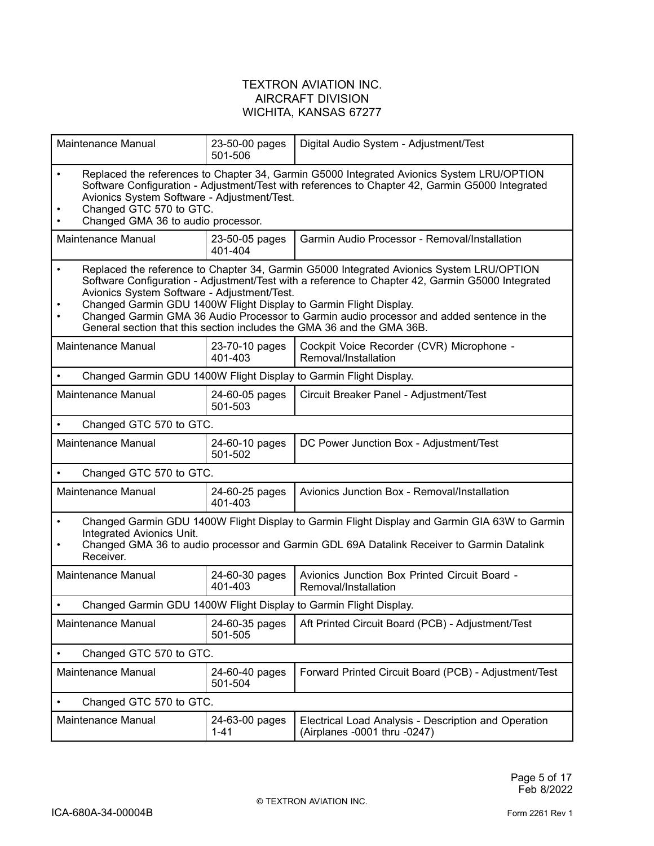| Maintenance Manual                                                                                                                                                                                                                                                                                                                                                                                                                                                                                   | 23-50-00 pages<br>501-506  | Digital Audio System - Adjustment/Test                                               |  |
|------------------------------------------------------------------------------------------------------------------------------------------------------------------------------------------------------------------------------------------------------------------------------------------------------------------------------------------------------------------------------------------------------------------------------------------------------------------------------------------------------|----------------------------|--------------------------------------------------------------------------------------|--|
| Replaced the references to Chapter 34, Garmin G5000 Integrated Avionics System LRU/OPTION<br>$\bullet$<br>Software Configuration - Adjustment/Test with references to Chapter 42, Garmin G5000 Integrated<br>Avionics System Software - Adjustment/Test.<br>Changed GTC 570 to GTC.<br>Changed GMA 36 to audio processor.                                                                                                                                                                            |                            |                                                                                      |  |
| Maintenance Manual                                                                                                                                                                                                                                                                                                                                                                                                                                                                                   | 23-50-05 pages<br>401-404  | Garmin Audio Processor - Removal/Installation                                        |  |
| Replaced the reference to Chapter 34, Garmin G5000 Integrated Avionics System LRU/OPTION<br>$\bullet$<br>Software Configuration - Adjustment/Test with a reference to Chapter 42, Garmin G5000 Integrated<br>Avionics System Software - Adjustment/Test.<br>Changed Garmin GDU 1400W Flight Display to Garmin Flight Display.<br>Changed Garmin GMA 36 Audio Processor to Garmin audio processor and added sentence in the<br>General section that this section includes the GMA 36 and the GMA 36B. |                            |                                                                                      |  |
| Maintenance Manual                                                                                                                                                                                                                                                                                                                                                                                                                                                                                   | 23-70-10 pages<br>401-403  | Cockpit Voice Recorder (CVR) Microphone -<br>Removal/Installation                    |  |
| Changed Garmin GDU 1400W Flight Display to Garmin Flight Display.                                                                                                                                                                                                                                                                                                                                                                                                                                    |                            |                                                                                      |  |
| Maintenance Manual                                                                                                                                                                                                                                                                                                                                                                                                                                                                                   | 24-60-05 pages<br>501-503  | Circuit Breaker Panel - Adjustment/Test                                              |  |
| Changed GTC 570 to GTC.                                                                                                                                                                                                                                                                                                                                                                                                                                                                              |                            |                                                                                      |  |
| Maintenance Manual                                                                                                                                                                                                                                                                                                                                                                                                                                                                                   | 24-60-10 pages<br>501-502  | DC Power Junction Box - Adjustment/Test                                              |  |
| Changed GTC 570 to GTC.<br>$\bullet$                                                                                                                                                                                                                                                                                                                                                                                                                                                                 |                            |                                                                                      |  |
| Maintenance Manual                                                                                                                                                                                                                                                                                                                                                                                                                                                                                   | 24-60-25 pages<br>401-403  | Avionics Junction Box - Removal/Installation                                         |  |
| Changed Garmin GDU 1400W Flight Display to Garmin Flight Display and Garmin GIA 63W to Garmin<br>$\bullet$<br>Integrated Avionics Unit.<br>Changed GMA 36 to audio processor and Garmin GDL 69A Datalink Receiver to Garmin Datalink<br>Receiver.                                                                                                                                                                                                                                                    |                            |                                                                                      |  |
| Maintenance Manual                                                                                                                                                                                                                                                                                                                                                                                                                                                                                   | 24-60-30 pages<br>401-403  | Avionics Junction Box Printed Circuit Board -<br>Removal/Installation                |  |
| Changed Garmin GDU 1400W Flight Display to Garmin Flight Display.                                                                                                                                                                                                                                                                                                                                                                                                                                    |                            |                                                                                      |  |
| <b>Maintenance Manual</b>                                                                                                                                                                                                                                                                                                                                                                                                                                                                            | 24-60-35 pages<br>501-505  | Aft Printed Circuit Board (PCB) - Adjustment/Test                                    |  |
| Changed GTC 570 to GTC.                                                                                                                                                                                                                                                                                                                                                                                                                                                                              |                            |                                                                                      |  |
| <b>Maintenance Manual</b>                                                                                                                                                                                                                                                                                                                                                                                                                                                                            | 24-60-40 pages<br>501-504  | Forward Printed Circuit Board (PCB) - Adjustment/Test                                |  |
| Changed GTC 570 to GTC.                                                                                                                                                                                                                                                                                                                                                                                                                                                                              |                            |                                                                                      |  |
| Maintenance Manual                                                                                                                                                                                                                                                                                                                                                                                                                                                                                   | 24-63-00 pages<br>$1 - 41$ | Electrical Load Analysis - Description and Operation<br>(Airplanes -0001 thru -0247) |  |
|                                                                                                                                                                                                                                                                                                                                                                                                                                                                                                      |                            |                                                                                      |  |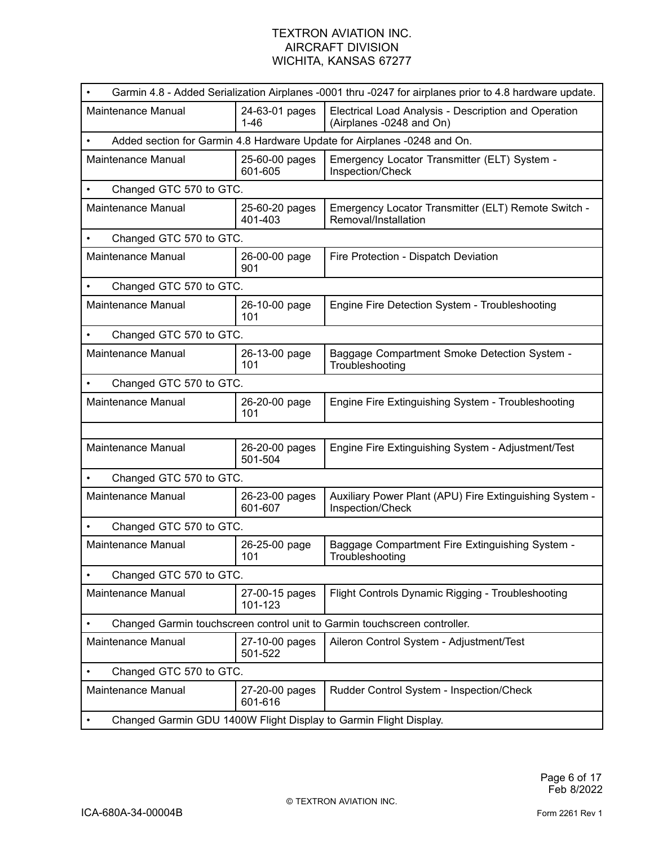| Garmin 4.8 - Added Serialization Airplanes -0001 thru -0247 for airplanes prior to 4.8 hardware update. |                                                                           |                                                                                  |  |
|---------------------------------------------------------------------------------------------------------|---------------------------------------------------------------------------|----------------------------------------------------------------------------------|--|
| <b>Maintenance Manual</b>                                                                               | 24-63-01 pages<br>1-46                                                    | Electrical Load Analysis - Description and Operation<br>(Airplanes -0248 and On) |  |
|                                                                                                         |                                                                           | Added section for Garmin 4.8 Hardware Update for Airplanes -0248 and On.         |  |
| Maintenance Manual                                                                                      | 25-60-00 pages<br>601-605                                                 | Emergency Locator Transmitter (ELT) System -<br>Inspection/Check                 |  |
| Changed GTC 570 to GTC.<br>$\bullet$                                                                    |                                                                           |                                                                                  |  |
| Maintenance Manual                                                                                      | 25-60-20 pages<br>401-403                                                 | Emergency Locator Transmitter (ELT) Remote Switch -<br>Removal/Installation      |  |
| Changed GTC 570 to GTC.                                                                                 |                                                                           |                                                                                  |  |
| Maintenance Manual                                                                                      | 26-00-00 page<br>901                                                      | Fire Protection - Dispatch Deviation                                             |  |
| Changed GTC 570 to GTC.                                                                                 |                                                                           |                                                                                  |  |
| Maintenance Manual                                                                                      | 26-10-00 page<br>101                                                      | Engine Fire Detection System - Troubleshooting                                   |  |
| Changed GTC 570 to GTC.                                                                                 |                                                                           |                                                                                  |  |
| Maintenance Manual                                                                                      | 26-13-00 page<br>101                                                      | Baggage Compartment Smoke Detection System -<br>Troubleshooting                  |  |
| Changed GTC 570 to GTC.                                                                                 |                                                                           |                                                                                  |  |
| Maintenance Manual                                                                                      | 26-20-00 page<br>101                                                      | Engine Fire Extinguishing System - Troubleshooting                               |  |
|                                                                                                         |                                                                           |                                                                                  |  |
| Maintenance Manual                                                                                      | 26-20-00 pages<br>501-504                                                 | Engine Fire Extinguishing System - Adjustment/Test                               |  |
| Changed GTC 570 to GTC.                                                                                 |                                                                           |                                                                                  |  |
| <b>Maintenance Manual</b>                                                                               | 26-23-00 pages<br>601-607                                                 | Auxiliary Power Plant (APU) Fire Extinguishing System -<br>Inspection/Check      |  |
| Changed GTC 570 to GTC.                                                                                 |                                                                           |                                                                                  |  |
| Maintenance Manual                                                                                      | 26-25-00 page<br>101                                                      | Baggage Compartment Fire Extinguishing System -<br>Troubleshooting               |  |
| Changed GTC 570 to GTC.                                                                                 |                                                                           |                                                                                  |  |
| Maintenance Manual                                                                                      | 27-00-15 pages<br>101-123                                                 | Flight Controls Dynamic Rigging - Troubleshooting                                |  |
|                                                                                                         | Changed Garmin touchscreen control unit to Garmin touchscreen controller. |                                                                                  |  |
| Maintenance Manual                                                                                      | 27-10-00 pages<br>501-522                                                 | Aileron Control System - Adjustment/Test                                         |  |
| Changed GTC 570 to GTC.                                                                                 |                                                                           |                                                                                  |  |
| Maintenance Manual                                                                                      | 27-20-00 pages<br>601-616                                                 | Rudder Control System - Inspection/Check                                         |  |
| Changed Garmin GDU 1400W Flight Display to Garmin Flight Display.                                       |                                                                           |                                                                                  |  |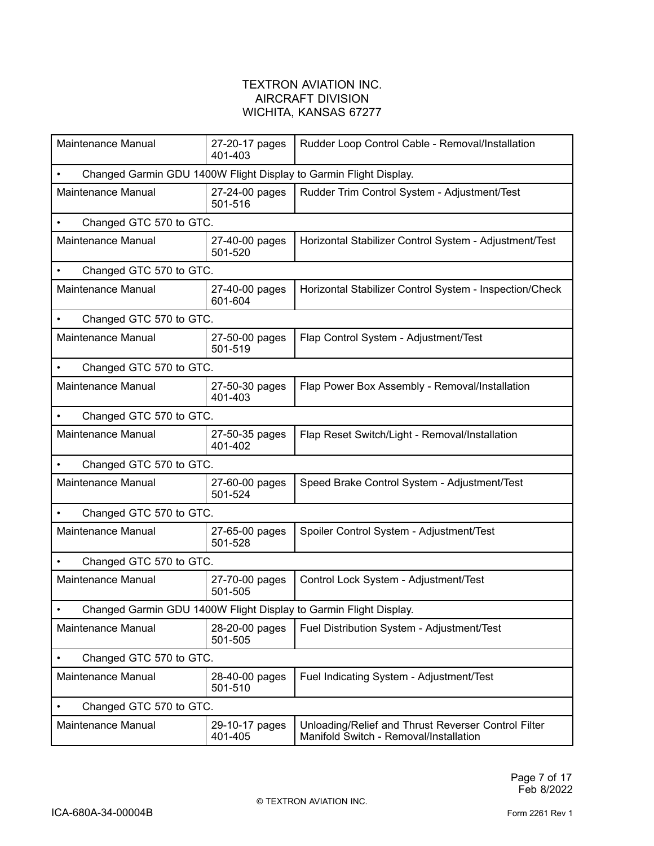| Maintenance Manual                   | 27-20-17 pages<br>401-403 | Rudder Loop Control Cable - Removal/Installation                                              |
|--------------------------------------|---------------------------|-----------------------------------------------------------------------------------------------|
|                                      |                           | Changed Garmin GDU 1400W Flight Display to Garmin Flight Display.                             |
| Maintenance Manual                   | 27-24-00 pages<br>501-516 | Rudder Trim Control System - Adjustment/Test                                                  |
| Changed GTC 570 to GTC.              |                           |                                                                                               |
| Maintenance Manual                   | 27-40-00 pages<br>501-520 | Horizontal Stabilizer Control System - Adjustment/Test                                        |
| Changed GTC 570 to GTC.              |                           |                                                                                               |
| Maintenance Manual                   | 27-40-00 pages<br>601-604 | Horizontal Stabilizer Control System - Inspection/Check                                       |
| Changed GTC 570 to GTC.<br>$\bullet$ |                           |                                                                                               |
| Maintenance Manual                   | 27-50-00 pages<br>501-519 | Flap Control System - Adjustment/Test                                                         |
| Changed GTC 570 to GTC.<br>$\bullet$ |                           |                                                                                               |
| Maintenance Manual                   | 27-50-30 pages<br>401-403 | Flap Power Box Assembly - Removal/Installation                                                |
| Changed GTC 570 to GTC.              |                           |                                                                                               |
| Maintenance Manual                   | 27-50-35 pages<br>401-402 | Flap Reset Switch/Light - Removal/Installation                                                |
| Changed GTC 570 to GTC.              |                           |                                                                                               |
| Maintenance Manual                   | 27-60-00 pages<br>501-524 | Speed Brake Control System - Adjustment/Test                                                  |
| Changed GTC 570 to GTC.              |                           |                                                                                               |
| Maintenance Manual                   | 27-65-00 pages<br>501-528 | Spoiler Control System - Adjustment/Test                                                      |
| Changed GTC 570 to GTC.<br>$\bullet$ |                           |                                                                                               |
| Maintenance Manual                   | 27-70-00 pages<br>501-505 | Control Lock System - Adjustment/Test                                                         |
| $\bullet$                            |                           | Changed Garmin GDU 1400W Flight Display to Garmin Flight Display.                             |
| Maintenance Manual                   | 28-20-00 pages<br>501-505 | Fuel Distribution System - Adjustment/Test                                                    |
| Changed GTC 570 to GTC.              |                           |                                                                                               |
| Maintenance Manual                   | 28-40-00 pages<br>501-510 | Fuel Indicating System - Adjustment/Test                                                      |
| Changed GTC 570 to GTC.              |                           |                                                                                               |
| Maintenance Manual                   | 29-10-17 pages<br>401-405 | Unloading/Relief and Thrust Reverser Control Filter<br>Manifold Switch - Removal/Installation |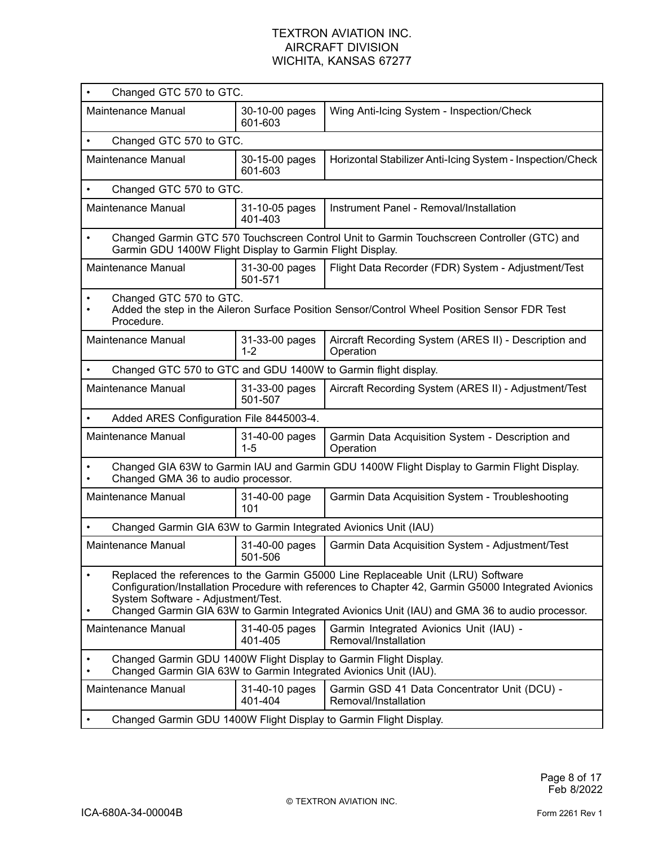| Changed GTC 570 to GTC.<br>$\bullet$                                                                                                                                                                                                                                                                                                          |                                                                                                                                   |                                                                                              |  |
|-----------------------------------------------------------------------------------------------------------------------------------------------------------------------------------------------------------------------------------------------------------------------------------------------------------------------------------------------|-----------------------------------------------------------------------------------------------------------------------------------|----------------------------------------------------------------------------------------------|--|
| Maintenance Manual                                                                                                                                                                                                                                                                                                                            | 30-10-00 pages<br>601-603                                                                                                         | Wing Anti-Icing System - Inspection/Check                                                    |  |
| Changed GTC 570 to GTC.<br>$\bullet$                                                                                                                                                                                                                                                                                                          |                                                                                                                                   |                                                                                              |  |
| Maintenance Manual                                                                                                                                                                                                                                                                                                                            | 30-15-00 pages<br>601-603                                                                                                         | Horizontal Stabilizer Anti-Icing System - Inspection/Check                                   |  |
| Changed GTC 570 to GTC.<br>$\bullet$                                                                                                                                                                                                                                                                                                          |                                                                                                                                   |                                                                                              |  |
| Maintenance Manual                                                                                                                                                                                                                                                                                                                            | 31-10-05 pages<br>401-403                                                                                                         | Instrument Panel - Removal/Installation                                                      |  |
| $\bullet$<br>Garmin GDU 1400W Flight Display to Garmin Flight Display.                                                                                                                                                                                                                                                                        |                                                                                                                                   | Changed Garmin GTC 570 Touchscreen Control Unit to Garmin Touchscreen Controller (GTC) and   |  |
| Maintenance Manual                                                                                                                                                                                                                                                                                                                            | 31-30-00 pages<br>501-571                                                                                                         | Flight Data Recorder (FDR) System - Adjustment/Test                                          |  |
| Changed GTC 570 to GTC.<br>$\bullet$<br>Procedure.                                                                                                                                                                                                                                                                                            |                                                                                                                                   | Added the step in the Aileron Surface Position Sensor/Control Wheel Position Sensor FDR Test |  |
| Maintenance Manual                                                                                                                                                                                                                                                                                                                            | 31-33-00 pages<br>$1 - 2$                                                                                                         | Aircraft Recording System (ARES II) - Description and<br>Operation                           |  |
| Changed GTC 570 to GTC and GDU 1400W to Garmin flight display.<br>$\bullet$                                                                                                                                                                                                                                                                   |                                                                                                                                   |                                                                                              |  |
| Maintenance Manual                                                                                                                                                                                                                                                                                                                            | 31-33-00 pages<br>501-507                                                                                                         | Aircraft Recording System (ARES II) - Adjustment/Test                                        |  |
| Added ARES Configuration File 8445003-4.                                                                                                                                                                                                                                                                                                      |                                                                                                                                   |                                                                                              |  |
| Maintenance Manual                                                                                                                                                                                                                                                                                                                            | 31-40-00 pages<br>1-5                                                                                                             | Garmin Data Acquisition System - Description and<br>Operation                                |  |
|                                                                                                                                                                                                                                                                                                                                               | Changed GIA 63W to Garmin IAU and Garmin GDU 1400W Flight Display to Garmin Flight Display.<br>Changed GMA 36 to audio processor. |                                                                                              |  |
| Maintenance Manual                                                                                                                                                                                                                                                                                                                            | 31-40-00 page<br>101                                                                                                              | Garmin Data Acquisition System - Troubleshooting                                             |  |
| Changed Garmin GIA 63W to Garmin Integrated Avionics Unit (IAU)                                                                                                                                                                                                                                                                               |                                                                                                                                   |                                                                                              |  |
| Maintenance Manual                                                                                                                                                                                                                                                                                                                            | 31-40-00 pages<br>501-506                                                                                                         | Garmin Data Acquisition System - Adjustment/Test                                             |  |
| Replaced the references to the Garmin G5000 Line Replaceable Unit (LRU) Software<br>$\bullet$<br>Configuration/Installation Procedure with references to Chapter 42, Garmin G5000 Integrated Avionics<br>System Software - Adjustment/Test.<br>Changed Garmin GIA 63W to Garmin Integrated Avionics Unit (IAU) and GMA 36 to audio processor. |                                                                                                                                   |                                                                                              |  |
| Maintenance Manual                                                                                                                                                                                                                                                                                                                            | 31-40-05 pages<br>401-405                                                                                                         | Garmin Integrated Avionics Unit (IAU) -<br>Removal/Installation                              |  |
| Changed Garmin GIA 63W to Garmin Integrated Avionics Unit (IAU).                                                                                                                                                                                                                                                                              |                                                                                                                                   | Changed Garmin GDU 1400W Flight Display to Garmin Flight Display.                            |  |
| Maintenance Manual                                                                                                                                                                                                                                                                                                                            | 31-40-10 pages<br>401-404                                                                                                         | Garmin GSD 41 Data Concentrator Unit (DCU) -<br>Removal/Installation                         |  |
| Changed Garmin GDU 1400W Flight Display to Garmin Flight Display.                                                                                                                                                                                                                                                                             |                                                                                                                                   |                                                                                              |  |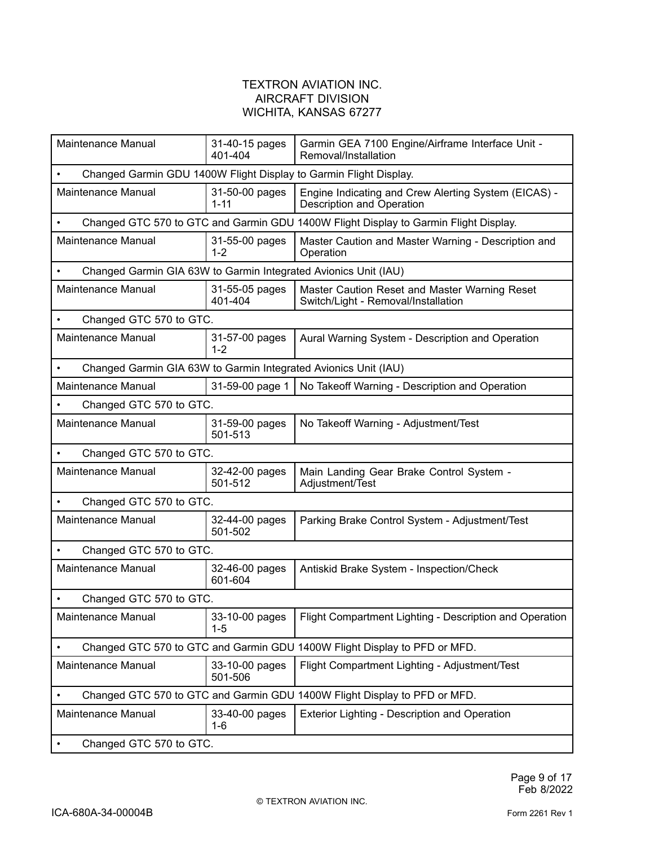| Maintenance Manual                                                           | 31-40-15 pages<br>401-404                                         | Garmin GEA 7100 Engine/Airframe Interface Unit -<br>Removal/Installation                 |  |  |  |
|------------------------------------------------------------------------------|-------------------------------------------------------------------|------------------------------------------------------------------------------------------|--|--|--|
|                                                                              | Changed Garmin GDU 1400W Flight Display to Garmin Flight Display. |                                                                                          |  |  |  |
| Maintenance Manual                                                           | 31-50-00 pages<br>1-11                                            | Engine Indicating and Crew Alerting System (EICAS) -<br><b>Description and Operation</b> |  |  |  |
|                                                                              |                                                                   | Changed GTC 570 to GTC and Garmin GDU 1400W Flight Display to Garmin Flight Display.     |  |  |  |
| <b>Maintenance Manual</b>                                                    | 31-55-00 pages<br>$1 - 2$                                         | Master Caution and Master Warning - Description and<br>Operation                         |  |  |  |
| Changed Garmin GIA 63W to Garmin Integrated Avionics Unit (IAU)              |                                                                   |                                                                                          |  |  |  |
| <b>Maintenance Manual</b>                                                    | 31-55-05 pages<br>401-404                                         | Master Caution Reset and Master Warning Reset<br>Switch/Light - Removal/Installation     |  |  |  |
| Changed GTC 570 to GTC.                                                      |                                                                   |                                                                                          |  |  |  |
| Maintenance Manual                                                           | 31-57-00 pages<br>$1 - 2$                                         | Aural Warning System - Description and Operation                                         |  |  |  |
| Changed Garmin GIA 63W to Garmin Integrated Avionics Unit (IAU)<br>$\bullet$ |                                                                   |                                                                                          |  |  |  |
| Maintenance Manual                                                           | 31-59-00 page 1                                                   | No Takeoff Warning - Description and Operation                                           |  |  |  |
| Changed GTC 570 to GTC.                                                      |                                                                   |                                                                                          |  |  |  |
| <b>Maintenance Manual</b>                                                    | 31-59-00 pages<br>501-513                                         | No Takeoff Warning - Adjustment/Test                                                     |  |  |  |
| Changed GTC 570 to GTC.                                                      |                                                                   |                                                                                          |  |  |  |
| <b>Maintenance Manual</b>                                                    | 32-42-00 pages<br>501-512                                         | Main Landing Gear Brake Control System -<br>Adjustment/Test                              |  |  |  |
| Changed GTC 570 to GTC.                                                      |                                                                   |                                                                                          |  |  |  |
| <b>Maintenance Manual</b>                                                    | 32-44-00 pages<br>501-502                                         | Parking Brake Control System - Adjustment/Test                                           |  |  |  |
| Changed GTC 570 to GTC.                                                      |                                                                   |                                                                                          |  |  |  |
| <b>Maintenance Manual</b>                                                    | 32-46-00 pages<br>601-604                                         | Antiskid Brake System - Inspection/Check                                                 |  |  |  |
| Changed GTC 570 to GTC.                                                      |                                                                   |                                                                                          |  |  |  |
| Maintenance Manual                                                           | 33-10-00 pages<br>$1 - 5$                                         | Flight Compartment Lighting - Description and Operation                                  |  |  |  |
|                                                                              |                                                                   | Changed GTC 570 to GTC and Garmin GDU 1400W Flight Display to PFD or MFD.                |  |  |  |
| Maintenance Manual                                                           | 33-10-00 pages<br>501-506                                         | Flight Compartment Lighting - Adjustment/Test                                            |  |  |  |
|                                                                              |                                                                   | Changed GTC 570 to GTC and Garmin GDU 1400W Flight Display to PFD or MFD.                |  |  |  |
| Maintenance Manual                                                           | 33-40-00 pages<br>1-6                                             | Exterior Lighting - Description and Operation                                            |  |  |  |
| Changed GTC 570 to GTC.                                                      |                                                                   |                                                                                          |  |  |  |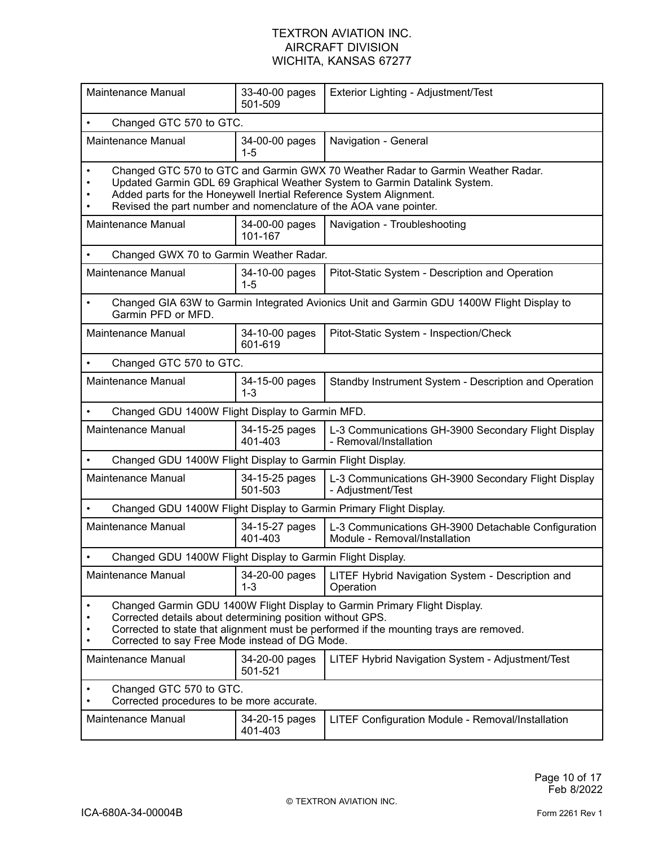| Maintenance Manual                                                                                                                                                                                                                                                                 | 33-40-00 pages<br>501-509                                                                                                                                                                                                                                                                               | Exterior Lighting - Adjustment/Test                                                       |  |  |
|------------------------------------------------------------------------------------------------------------------------------------------------------------------------------------------------------------------------------------------------------------------------------------|---------------------------------------------------------------------------------------------------------------------------------------------------------------------------------------------------------------------------------------------------------------------------------------------------------|-------------------------------------------------------------------------------------------|--|--|
|                                                                                                                                                                                                                                                                                    | Changed GTC 570 to GTC.                                                                                                                                                                                                                                                                                 |                                                                                           |  |  |
| Maintenance Manual                                                                                                                                                                                                                                                                 | 34-00-00 pages<br>1-5                                                                                                                                                                                                                                                                                   | Navigation - General                                                                      |  |  |
|                                                                                                                                                                                                                                                                                    | Changed GTC 570 to GTC and Garmin GWX 70 Weather Radar to Garmin Weather Radar.<br>Updated Garmin GDL 69 Graphical Weather System to Garmin Datalink System.<br>Added parts for the Honeywell Inertial Reference System Alignment.<br>Revised the part number and nomenclature of the AOA vane pointer. |                                                                                           |  |  |
| Maintenance Manual                                                                                                                                                                                                                                                                 | 34-00-00 pages<br>101-167                                                                                                                                                                                                                                                                               | Navigation - Troubleshooting                                                              |  |  |
| Changed GWX 70 to Garmin Weather Radar.                                                                                                                                                                                                                                            |                                                                                                                                                                                                                                                                                                         |                                                                                           |  |  |
| Maintenance Manual                                                                                                                                                                                                                                                                 | 34-10-00 pages<br>$1 - 5$                                                                                                                                                                                                                                                                               | Pitot-Static System - Description and Operation                                           |  |  |
| $\bullet$<br>Garmin PFD or MFD.                                                                                                                                                                                                                                                    |                                                                                                                                                                                                                                                                                                         | Changed GIA 63W to Garmin Integrated Avionics Unit and Garmin GDU 1400W Flight Display to |  |  |
| Maintenance Manual                                                                                                                                                                                                                                                                 | 34-10-00 pages<br>601-619                                                                                                                                                                                                                                                                               | Pitot-Static System - Inspection/Check                                                    |  |  |
| Changed GTC 570 to GTC.                                                                                                                                                                                                                                                            |                                                                                                                                                                                                                                                                                                         |                                                                                           |  |  |
| <b>Maintenance Manual</b>                                                                                                                                                                                                                                                          | 34-15-00 pages<br>$1 - 3$                                                                                                                                                                                                                                                                               | Standby Instrument System - Description and Operation                                     |  |  |
|                                                                                                                                                                                                                                                                                    | Changed GDU 1400W Flight Display to Garmin MFD.                                                                                                                                                                                                                                                         |                                                                                           |  |  |
| Maintenance Manual                                                                                                                                                                                                                                                                 | 34-15-25 pages<br>401-403                                                                                                                                                                                                                                                                               | L-3 Communications GH-3900 Secondary Flight Display<br>- Removal/Installation             |  |  |
| Changed GDU 1400W Flight Display to Garmin Flight Display.                                                                                                                                                                                                                         |                                                                                                                                                                                                                                                                                                         |                                                                                           |  |  |
| Maintenance Manual                                                                                                                                                                                                                                                                 | 34-15-25 pages<br>501-503                                                                                                                                                                                                                                                                               | L-3 Communications GH-3900 Secondary Flight Display<br>- Adjustment/Test                  |  |  |
| Changed GDU 1400W Flight Display to Garmin Primary Flight Display.                                                                                                                                                                                                                 |                                                                                                                                                                                                                                                                                                         |                                                                                           |  |  |
| Maintenance Manual                                                                                                                                                                                                                                                                 | 34-15-27 pages<br>401-403                                                                                                                                                                                                                                                                               | L-3 Communications GH-3900 Detachable Configuration<br>Module - Removal/Installation      |  |  |
| Changed GDU 1400W Flight Display to Garmin Flight Display.                                                                                                                                                                                                                         |                                                                                                                                                                                                                                                                                                         |                                                                                           |  |  |
| Maintenance Manual                                                                                                                                                                                                                                                                 | 34-20-00 pages<br>$1 - 3$                                                                                                                                                                                                                                                                               | LITEF Hybrid Navigation System - Description and<br>Operation                             |  |  |
| Changed Garmin GDU 1400W Flight Display to Garmin Primary Flight Display.<br>Corrected details about determining position without GPS.<br>Corrected to state that alignment must be performed if the mounting trays are removed.<br>Corrected to say Free Mode instead of DG Mode. |                                                                                                                                                                                                                                                                                                         |                                                                                           |  |  |
| Maintenance Manual                                                                                                                                                                                                                                                                 | 34-20-00 pages<br>501-521                                                                                                                                                                                                                                                                               | LITEF Hybrid Navigation System - Adjustment/Test                                          |  |  |
| Changed GTC 570 to GTC.<br>Corrected procedures to be more accurate.                                                                                                                                                                                                               |                                                                                                                                                                                                                                                                                                         |                                                                                           |  |  |
| Maintenance Manual                                                                                                                                                                                                                                                                 | 34-20-15 pages<br>401-403                                                                                                                                                                                                                                                                               | LITEF Configuration Module - Removal/Installation                                         |  |  |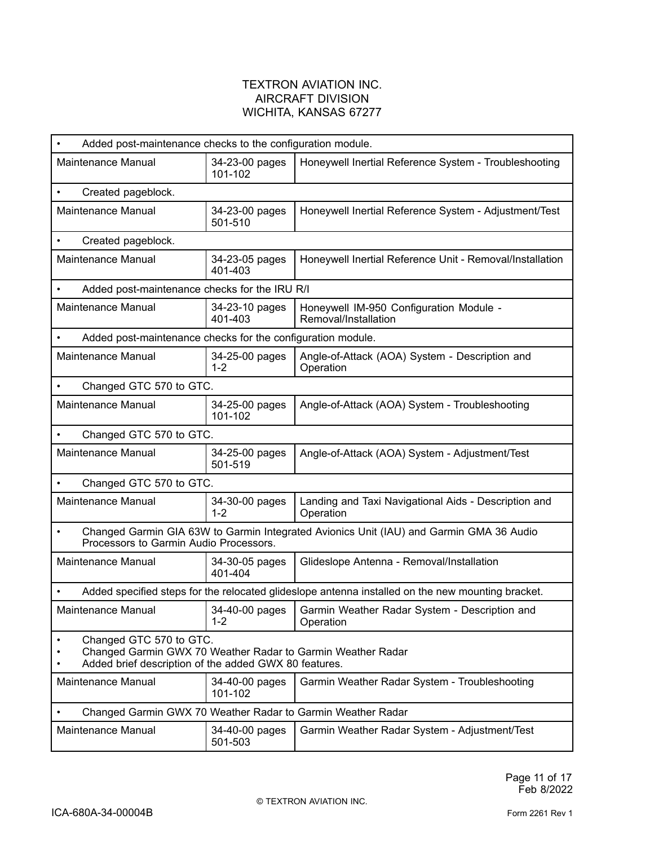| Added post-maintenance checks to the configuration module.                                                                                      |                           |                                                                                                   |  |
|-------------------------------------------------------------------------------------------------------------------------------------------------|---------------------------|---------------------------------------------------------------------------------------------------|--|
| Maintenance Manual                                                                                                                              | 34-23-00 pages<br>101-102 | Honeywell Inertial Reference System - Troubleshooting                                             |  |
| Created pageblock.<br>$\bullet$                                                                                                                 |                           |                                                                                                   |  |
| Maintenance Manual                                                                                                                              | 34-23-00 pages<br>501-510 | Honeywell Inertial Reference System - Adjustment/Test                                             |  |
| Created pageblock.<br>$\bullet$                                                                                                                 |                           |                                                                                                   |  |
| <b>Maintenance Manual</b>                                                                                                                       | 34-23-05 pages<br>401-403 | Honeywell Inertial Reference Unit - Removal/Installation                                          |  |
| Added post-maintenance checks for the IRU R/I                                                                                                   |                           |                                                                                                   |  |
| Maintenance Manual                                                                                                                              | 34-23-10 pages<br>401-403 | Honeywell IM-950 Configuration Module -<br>Removal/Installation                                   |  |
| Added post-maintenance checks for the configuration module.                                                                                     |                           |                                                                                                   |  |
| Maintenance Manual                                                                                                                              | 34-25-00 pages<br>$1 - 2$ | Angle-of-Attack (AOA) System - Description and<br>Operation                                       |  |
| Changed GTC 570 to GTC.                                                                                                                         |                           |                                                                                                   |  |
| Maintenance Manual                                                                                                                              | 34-25-00 pages<br>101-102 | Angle-of-Attack (AOA) System - Troubleshooting                                                    |  |
| Changed GTC 570 to GTC.<br>$\bullet$                                                                                                            |                           |                                                                                                   |  |
| Maintenance Manual                                                                                                                              | 34-25-00 pages<br>501-519 | Angle-of-Attack (AOA) System - Adjustment/Test                                                    |  |
| Changed GTC 570 to GTC.<br>$\bullet$                                                                                                            |                           |                                                                                                   |  |
| Maintenance Manual                                                                                                                              | 34-30-00 pages<br>$1 - 2$ | Landing and Taxi Navigational Aids - Description and<br>Operation                                 |  |
| Changed Garmin GIA 63W to Garmin Integrated Avionics Unit (IAU) and Garmin GMA 36 Audio<br>$\bullet$<br>Processors to Garmin Audio Processors.  |                           |                                                                                                   |  |
| Maintenance Manual                                                                                                                              | 34-30-05 pages<br>401-404 | Glideslope Antenna - Removal/Installation                                                         |  |
|                                                                                                                                                 |                           | Added specified steps for the relocated glideslope antenna installed on the new mounting bracket. |  |
| Maintenance Manual                                                                                                                              | 34-40-00 pages<br>$1 - 2$ | Garmin Weather Radar System - Description and<br>Operation                                        |  |
| Changed GTC 570 to GTC.<br>Changed Garmin GWX 70 Weather Radar to Garmin Weather Radar<br>Added brief description of the added GWX 80 features. |                           |                                                                                                   |  |
| Maintenance Manual                                                                                                                              | 34-40-00 pages<br>101-102 | Garmin Weather Radar System - Troubleshooting                                                     |  |
| Changed Garmin GWX 70 Weather Radar to Garmin Weather Radar                                                                                     |                           |                                                                                                   |  |
| Maintenance Manual                                                                                                                              | 34-40-00 pages<br>501-503 | Garmin Weather Radar System - Adjustment/Test                                                     |  |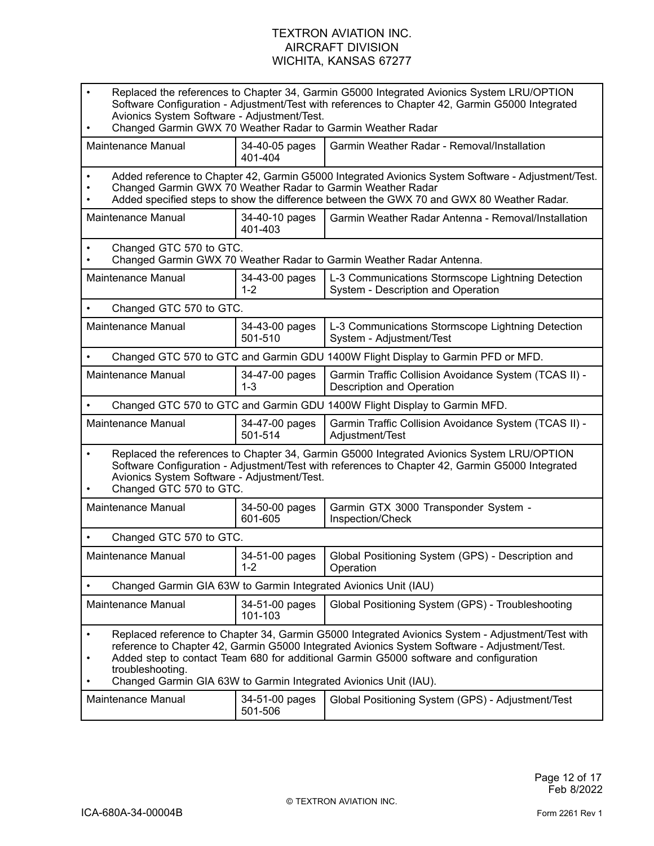| Replaced the references to Chapter 34, Garmin G5000 Integrated Avionics System LRU/OPTION<br>Software Configuration - Adjustment/Test with references to Chapter 42, Garmin G5000 Integrated<br>Avionics System Software - Adjustment/Test.<br>Changed Garmin GWX 70 Weather Radar to Garmin Weather Radar                                                                                     |                           |                                                                                         |  |
|------------------------------------------------------------------------------------------------------------------------------------------------------------------------------------------------------------------------------------------------------------------------------------------------------------------------------------------------------------------------------------------------|---------------------------|-----------------------------------------------------------------------------------------|--|
| Maintenance Manual                                                                                                                                                                                                                                                                                                                                                                             | 34-40-05 pages<br>401-404 | Garmin Weather Radar - Removal/Installation                                             |  |
| Added reference to Chapter 42, Garmin G5000 Integrated Avionics System Software - Adjustment/Test.<br>Changed Garmin GWX 70 Weather Radar to Garmin Weather Radar<br>Added specified steps to show the difference between the GWX 70 and GWX 80 Weather Radar.                                                                                                                                 |                           |                                                                                         |  |
| Maintenance Manual                                                                                                                                                                                                                                                                                                                                                                             | 34-40-10 pages<br>401-403 | Garmin Weather Radar Antenna - Removal/Installation                                     |  |
| Changed GTC 570 to GTC.<br>Changed Garmin GWX 70 Weather Radar to Garmin Weather Radar Antenna.                                                                                                                                                                                                                                                                                                |                           |                                                                                         |  |
| <b>Maintenance Manual</b>                                                                                                                                                                                                                                                                                                                                                                      | 34-43-00 pages<br>$1 - 2$ | L-3 Communications Stormscope Lightning Detection<br>System - Description and Operation |  |
| Changed GTC 570 to GTC.                                                                                                                                                                                                                                                                                                                                                                        |                           |                                                                                         |  |
| Maintenance Manual                                                                                                                                                                                                                                                                                                                                                                             | 34-43-00 pages<br>501-510 | L-3 Communications Stormscope Lightning Detection<br>System - Adjustment/Test           |  |
| Changed GTC 570 to GTC and Garmin GDU 1400W Flight Display to Garmin PFD or MFD.                                                                                                                                                                                                                                                                                                               |                           |                                                                                         |  |
| Maintenance Manual                                                                                                                                                                                                                                                                                                                                                                             | 34-47-00 pages<br>$1 - 3$ | Garmin Traffic Collision Avoidance System (TCAS II) -<br>Description and Operation      |  |
|                                                                                                                                                                                                                                                                                                                                                                                                |                           | Changed GTC 570 to GTC and Garmin GDU 1400W Flight Display to Garmin MFD.               |  |
| Maintenance Manual                                                                                                                                                                                                                                                                                                                                                                             | 34-47-00 pages<br>501-514 | Garmin Traffic Collision Avoidance System (TCAS II) -<br>Adjustment/Test                |  |
| Replaced the references to Chapter 34, Garmin G5000 Integrated Avionics System LRU/OPTION<br>$\bullet$<br>Software Configuration - Adjustment/Test with references to Chapter 42, Garmin G5000 Integrated<br>Avionics System Software - Adjustment/Test.<br>Changed GTC 570 to GTC.                                                                                                            |                           |                                                                                         |  |
| Maintenance Manual                                                                                                                                                                                                                                                                                                                                                                             | 34-50-00 pages<br>601-605 | Garmin GTX 3000 Transponder System -<br>Inspection/Check                                |  |
| Changed GTC 570 to GTC.                                                                                                                                                                                                                                                                                                                                                                        |                           |                                                                                         |  |
| Maintenance Manual                                                                                                                                                                                                                                                                                                                                                                             | 34-51-00 pages<br>$1 - 2$ | Global Positioning System (GPS) - Description and<br>Operation                          |  |
| Changed Garmin GIA 63W to Garmin Integrated Avionics Unit (IAU)                                                                                                                                                                                                                                                                                                                                |                           |                                                                                         |  |
| <b>Maintenance Manual</b>                                                                                                                                                                                                                                                                                                                                                                      | 34-51-00 pages<br>101-103 | Global Positioning System (GPS) - Troubleshooting                                       |  |
| Replaced reference to Chapter 34, Garmin G5000 Integrated Avionics System - Adjustment/Test with<br>$\bullet$<br>reference to Chapter 42, Garmin G5000 Integrated Avionics System Software - Adjustment/Test.<br>Added step to contact Team 680 for additional Garmin G5000 software and configuration<br>troubleshooting.<br>Changed Garmin GIA 63W to Garmin Integrated Avionics Unit (IAU). |                           |                                                                                         |  |
| Maintenance Manual                                                                                                                                                                                                                                                                                                                                                                             | 34-51-00 pages<br>501-506 | Global Positioning System (GPS) - Adjustment/Test                                       |  |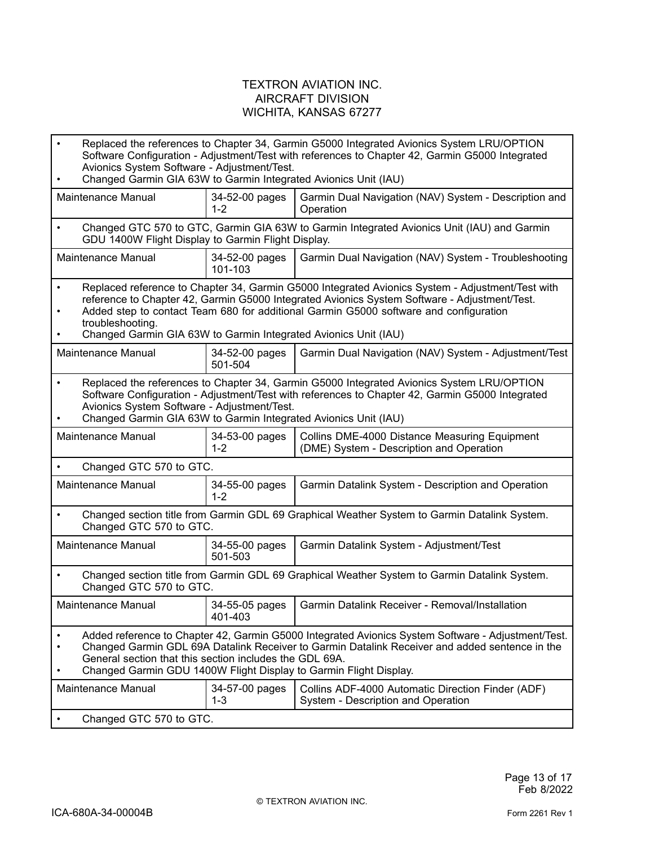| $\bullet$                                                                                                                                                                                                                                                                                                                            | Replaced the references to Chapter 34, Garmin G5000 Integrated Avionics System LRU/OPTION<br>Software Configuration - Adjustment/Test with references to Chapter 42, Garmin G5000 Integrated<br>Avionics System Software - Adjustment/Test.<br>Changed Garmin GIA 63W to Garmin Integrated Avionics Unit (IAU)                                                                   |                           |                                                                                            |
|--------------------------------------------------------------------------------------------------------------------------------------------------------------------------------------------------------------------------------------------------------------------------------------------------------------------------------------|----------------------------------------------------------------------------------------------------------------------------------------------------------------------------------------------------------------------------------------------------------------------------------------------------------------------------------------------------------------------------------|---------------------------|--------------------------------------------------------------------------------------------|
|                                                                                                                                                                                                                                                                                                                                      | Maintenance Manual                                                                                                                                                                                                                                                                                                                                                               | 34-52-00 pages<br>$1 - 2$ | Garmin Dual Navigation (NAV) System - Description and<br>Operation                         |
| $\bullet$                                                                                                                                                                                                                                                                                                                            | GDU 1400W Flight Display to Garmin Flight Display.                                                                                                                                                                                                                                                                                                                               |                           | Changed GTC 570 to GTC, Garmin GIA 63W to Garmin Integrated Avionics Unit (IAU) and Garmin |
|                                                                                                                                                                                                                                                                                                                                      | Maintenance Manual                                                                                                                                                                                                                                                                                                                                                               | 34-52-00 pages<br>101-103 | Garmin Dual Navigation (NAV) System - Troubleshooting                                      |
| $\bullet$                                                                                                                                                                                                                                                                                                                            | Replaced reference to Chapter 34, Garmin G5000 Integrated Avionics System - Adjustment/Test with<br>reference to Chapter 42, Garmin G5000 Integrated Avionics System Software - Adjustment/Test.<br>Added step to contact Team 680 for additional Garmin G5000 software and configuration<br>troubleshooting.<br>Changed Garmin GIA 63W to Garmin Integrated Avionics Unit (IAU) |                           |                                                                                            |
|                                                                                                                                                                                                                                                                                                                                      | Maintenance Manual                                                                                                                                                                                                                                                                                                                                                               | 34-52-00 pages<br>501-504 | Garmin Dual Navigation (NAV) System - Adjustment/Test                                      |
| Replaced the references to Chapter 34, Garmin G5000 Integrated Avionics System LRU/OPTION<br>$\bullet$<br>Software Configuration - Adjustment/Test with references to Chapter 42, Garmin G5000 Integrated<br>Avionics System Software - Adjustment/Test.<br>Changed Garmin GIA 63W to Garmin Integrated Avionics Unit (IAU)          |                                                                                                                                                                                                                                                                                                                                                                                  |                           |                                                                                            |
|                                                                                                                                                                                                                                                                                                                                      | Maintenance Manual                                                                                                                                                                                                                                                                                                                                                               | 34-53-00 pages<br>$1 - 2$ | Collins DME-4000 Distance Measuring Equipment<br>(DME) System - Description and Operation  |
|                                                                                                                                                                                                                                                                                                                                      | Changed GTC 570 to GTC.                                                                                                                                                                                                                                                                                                                                                          |                           |                                                                                            |
|                                                                                                                                                                                                                                                                                                                                      | Maintenance Manual                                                                                                                                                                                                                                                                                                                                                               | 34-55-00 pages<br>$1 - 2$ | Garmin Datalink System - Description and Operation                                         |
| $\bullet$                                                                                                                                                                                                                                                                                                                            | Changed section title from Garmin GDL 69 Graphical Weather System to Garmin Datalink System.<br>Changed GTC 570 to GTC.                                                                                                                                                                                                                                                          |                           |                                                                                            |
|                                                                                                                                                                                                                                                                                                                                      | Maintenance Manual                                                                                                                                                                                                                                                                                                                                                               | 34-55-00 pages<br>501-503 | Garmin Datalink System - Adjustment/Test                                                   |
| $\bullet$                                                                                                                                                                                                                                                                                                                            | Changed section title from Garmin GDL 69 Graphical Weather System to Garmin Datalink System.<br>Changed GTC 570 to GTC.                                                                                                                                                                                                                                                          |                           |                                                                                            |
|                                                                                                                                                                                                                                                                                                                                      | Maintenance Manual                                                                                                                                                                                                                                                                                                                                                               | 34-55-05 pages<br>401-403 | Garmin Datalink Receiver - Removal/Installation                                            |
| Added reference to Chapter 42, Garmin G5000 Integrated Avionics System Software - Adjustment/Test.<br>Changed Garmin GDL 69A Datalink Receiver to Garmin Datalink Receiver and added sentence in the<br>General section that this section includes the GDL 69A.<br>Changed Garmin GDU 1400W Flight Display to Garmin Flight Display. |                                                                                                                                                                                                                                                                                                                                                                                  |                           |                                                                                            |
|                                                                                                                                                                                                                                                                                                                                      | <b>Maintenance Manual</b>                                                                                                                                                                                                                                                                                                                                                        | 34-57-00 pages<br>1-3     | Collins ADF-4000 Automatic Direction Finder (ADF)<br>System - Description and Operation    |
|                                                                                                                                                                                                                                                                                                                                      | Changed GTC 570 to GTC.                                                                                                                                                                                                                                                                                                                                                          |                           |                                                                                            |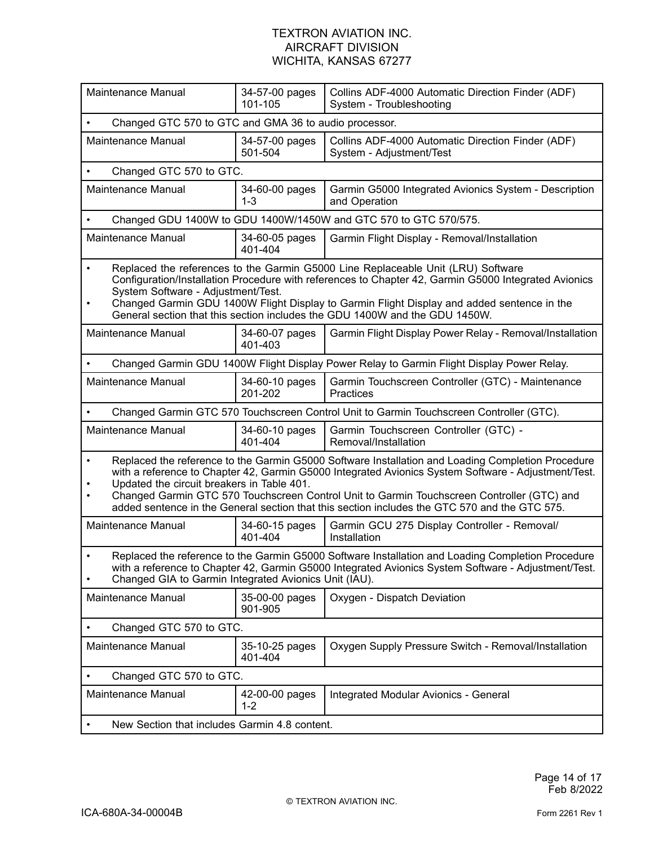| Maintenance Manual                                                                                                                                                                                                                                                                                                                                                                                                                                                 | 34-57-00 pages<br>101-105 | Collins ADF-4000 Automatic Direction Finder (ADF)<br>System - Troubleshooting             |  |
|--------------------------------------------------------------------------------------------------------------------------------------------------------------------------------------------------------------------------------------------------------------------------------------------------------------------------------------------------------------------------------------------------------------------------------------------------------------------|---------------------------|-------------------------------------------------------------------------------------------|--|
| Changed GTC 570 to GTC and GMA 36 to audio processor.                                                                                                                                                                                                                                                                                                                                                                                                              |                           |                                                                                           |  |
| Maintenance Manual                                                                                                                                                                                                                                                                                                                                                                                                                                                 | 34-57-00 pages<br>501-504 | Collins ADF-4000 Automatic Direction Finder (ADF)<br>System - Adjustment/Test             |  |
| Changed GTC 570 to GTC.<br>$\bullet$                                                                                                                                                                                                                                                                                                                                                                                                                               |                           |                                                                                           |  |
| Maintenance Manual                                                                                                                                                                                                                                                                                                                                                                                                                                                 | 34-60-00 pages<br>$1 - 3$ | Garmin G5000 Integrated Avionics System - Description<br>and Operation                    |  |
|                                                                                                                                                                                                                                                                                                                                                                                                                                                                    |                           | Changed GDU 1400W to GDU 1400W/1450W and GTC 570 to GTC 570/575.                          |  |
| Maintenance Manual                                                                                                                                                                                                                                                                                                                                                                                                                                                 | 34-60-05 pages<br>401-404 | Garmin Flight Display - Removal/Installation                                              |  |
| Replaced the references to the Garmin G5000 Line Replaceable Unit (LRU) Software<br>$\bullet$<br>Configuration/Installation Procedure with references to Chapter 42, Garmin G5000 Integrated Avionics<br>System Software - Adjustment/Test.<br>Changed Garmin GDU 1400W Flight Display to Garmin Flight Display and added sentence in the<br>$\bullet$<br>General section that this section includes the GDU 1400W and the GDU 1450W.                              |                           |                                                                                           |  |
| Maintenance Manual                                                                                                                                                                                                                                                                                                                                                                                                                                                 | 34-60-07 pages<br>401-403 | Garmin Flight Display Power Relay - Removal/Installation                                  |  |
| $\bullet$                                                                                                                                                                                                                                                                                                                                                                                                                                                          |                           | Changed Garmin GDU 1400W Flight Display Power Relay to Garmin Flight Display Power Relay. |  |
| Maintenance Manual                                                                                                                                                                                                                                                                                                                                                                                                                                                 | 34-60-10 pages<br>201-202 | Garmin Touchscreen Controller (GTC) - Maintenance<br>Practices                            |  |
|                                                                                                                                                                                                                                                                                                                                                                                                                                                                    |                           | Changed Garmin GTC 570 Touchscreen Control Unit to Garmin Touchscreen Controller (GTC).   |  |
| Maintenance Manual                                                                                                                                                                                                                                                                                                                                                                                                                                                 | 34-60-10 pages<br>401-404 | Garmin Touchscreen Controller (GTC) -<br>Removal/Installation                             |  |
| Replaced the reference to the Garmin G5000 Software Installation and Loading Completion Procedure<br>$\bullet$<br>with a reference to Chapter 42, Garmin G5000 Integrated Avionics System Software - Adjustment/Test.<br>Updated the circuit breakers in Table 401.<br>Changed Garmin GTC 570 Touchscreen Control Unit to Garmin Touchscreen Controller (GTC) and<br>added sentence in the General section that this section includes the GTC 570 and the GTC 575. |                           |                                                                                           |  |
| Maintenance Manual                                                                                                                                                                                                                                                                                                                                                                                                                                                 | 34-60-15 pages<br>401-404 | Garmin GCU 275 Display Controller - Removal/<br>Installation                              |  |
| Replaced the reference to the Garmin G5000 Software Installation and Loading Completion Procedure<br>$\bullet$<br>with a reference to Chapter 42, Garmin G5000 Integrated Avionics System Software - Adjustment/Test.<br>Changed GIA to Garmin Integrated Avionics Unit (IAU).                                                                                                                                                                                     |                           |                                                                                           |  |
| Maintenance Manual                                                                                                                                                                                                                                                                                                                                                                                                                                                 | 35-00-00 pages<br>901-905 | Oxygen - Dispatch Deviation                                                               |  |
| Changed GTC 570 to GTC.                                                                                                                                                                                                                                                                                                                                                                                                                                            |                           |                                                                                           |  |
| Maintenance Manual                                                                                                                                                                                                                                                                                                                                                                                                                                                 | 35-10-25 pages<br>401-404 | Oxygen Supply Pressure Switch - Removal/Installation                                      |  |
| Changed GTC 570 to GTC.                                                                                                                                                                                                                                                                                                                                                                                                                                            |                           |                                                                                           |  |
| <b>Maintenance Manual</b>                                                                                                                                                                                                                                                                                                                                                                                                                                          | 42-00-00 pages<br>$1 - 2$ | Integrated Modular Avionics - General                                                     |  |
| New Section that includes Garmin 4.8 content.                                                                                                                                                                                                                                                                                                                                                                                                                      |                           |                                                                                           |  |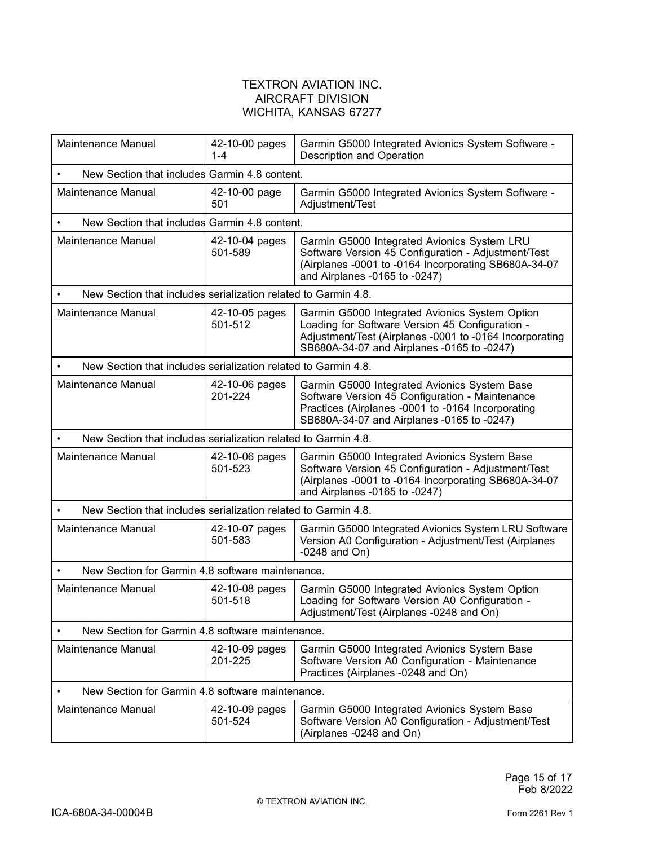| Maintenance Manual                                             | 42-10-00 pages<br>$1 - 4$ | Garmin G5000 Integrated Avionics System Software -<br>Description and Operation                                                                                                                            |  |
|----------------------------------------------------------------|---------------------------|------------------------------------------------------------------------------------------------------------------------------------------------------------------------------------------------------------|--|
| New Section that includes Garmin 4.8 content.                  |                           |                                                                                                                                                                                                            |  |
| Maintenance Manual                                             | 42-10-00 page<br>501      | Garmin G5000 Integrated Avionics System Software -<br>Adjustment/Test                                                                                                                                      |  |
| New Section that includes Garmin 4.8 content.                  |                           |                                                                                                                                                                                                            |  |
| Maintenance Manual                                             | 42-10-04 pages<br>501-589 | Garmin G5000 Integrated Avionics System LRU<br>Software Version 45 Configuration - Adjustment/Test<br>(Airplanes -0001 to -0164 Incorporating SB680A-34-07<br>and Airplanes -0165 to -0247)                |  |
| New Section that includes serialization related to Garmin 4.8. |                           |                                                                                                                                                                                                            |  |
| Maintenance Manual                                             | 42-10-05 pages<br>501-512 | Garmin G5000 Integrated Avionics System Option<br>Loading for Software Version 45 Configuration -<br>Adjustment/Test (Airplanes -0001 to -0164 Incorporating<br>SB680A-34-07 and Airplanes -0165 to -0247) |  |
| New Section that includes serialization related to Garmin 4.8. |                           |                                                                                                                                                                                                            |  |
| Maintenance Manual                                             | 42-10-06 pages<br>201-224 | Garmin G5000 Integrated Avionics System Base<br>Software Version 45 Configuration - Maintenance<br>Practices (Airplanes -0001 to -0164 Incorporating<br>SB680A-34-07 and Airplanes -0165 to -0247)         |  |
| New Section that includes serialization related to Garmin 4.8. |                           |                                                                                                                                                                                                            |  |
| Maintenance Manual                                             | 42-10-06 pages<br>501-523 | Garmin G5000 Integrated Avionics System Base<br>Software Version 45 Configuration - Adjustment/Test<br>(Airplanes -0001 to -0164 Incorporating SB680A-34-07<br>and Airplanes -0165 to -0247)               |  |
| New Section that includes serialization related to Garmin 4.8. |                           |                                                                                                                                                                                                            |  |
| Maintenance Manual                                             | 42-10-07 pages<br>501-583 | Garmin G5000 Integrated Avionics System LRU Software<br>Version A0 Configuration - Adjustment/Test (Airplanes<br>$-0248$ and On)                                                                           |  |
| New Section for Garmin 4.8 software maintenance.               |                           |                                                                                                                                                                                                            |  |
| Maintenance Manual                                             | 42-10-08 pages<br>501-518 | Garmin G5000 Integrated Avionics System Option<br>Loading for Software Version A0 Configuration -<br>Adjustment/Test (Airplanes -0248 and On)                                                              |  |
| New Section for Garmin 4.8 software maintenance.               |                           |                                                                                                                                                                                                            |  |
| Maintenance Manual                                             | 42-10-09 pages<br>201-225 | Garmin G5000 Integrated Avionics System Base<br>Software Version A0 Configuration - Maintenance<br>Practices (Airplanes -0248 and On)                                                                      |  |
| New Section for Garmin 4.8 software maintenance.               |                           |                                                                                                                                                                                                            |  |
| Maintenance Manual                                             | 42-10-09 pages<br>501-524 | Garmin G5000 Integrated Avionics System Base<br>Software Version A0 Configuration - Adjustment/Test<br>(Airplanes -0248 and On)                                                                            |  |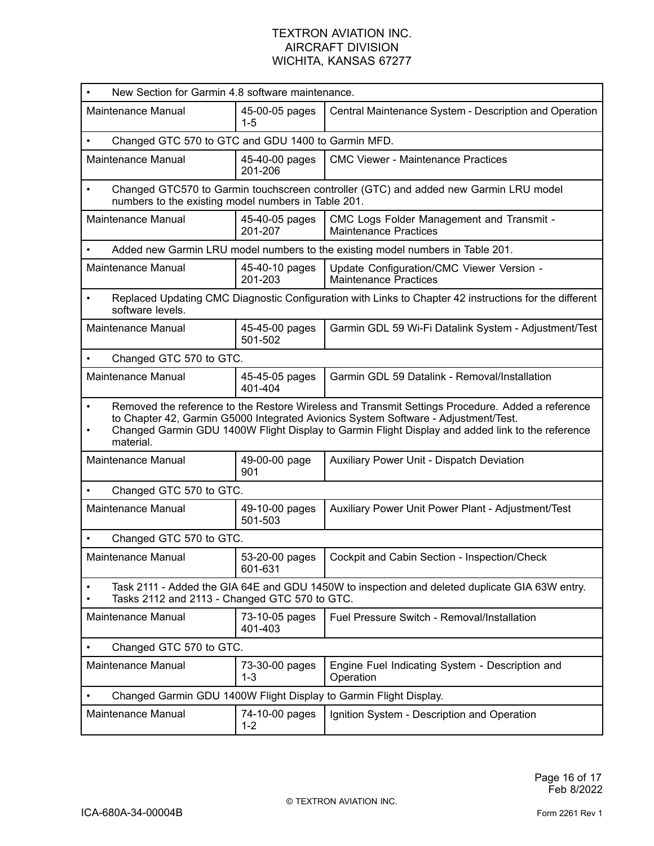| New Section for Garmin 4.8 software maintenance.                                                                                                                                                                                                                                                                     |                                                                                                                                             |                                                                                                        |  |  |
|----------------------------------------------------------------------------------------------------------------------------------------------------------------------------------------------------------------------------------------------------------------------------------------------------------------------|---------------------------------------------------------------------------------------------------------------------------------------------|--------------------------------------------------------------------------------------------------------|--|--|
| Maintenance Manual                                                                                                                                                                                                                                                                                                   | 45-00-05 pages<br>$1 - 5$                                                                                                                   | Central Maintenance System - Description and Operation                                                 |  |  |
|                                                                                                                                                                                                                                                                                                                      | Changed GTC 570 to GTC and GDU 1400 to Garmin MFD.                                                                                          |                                                                                                        |  |  |
| Maintenance Manual                                                                                                                                                                                                                                                                                                   | 45-40-00 pages<br>201-206                                                                                                                   | <b>CMC Viewer - Maintenance Practices</b>                                                              |  |  |
| $\bullet$                                                                                                                                                                                                                                                                                                            | Changed GTC570 to Garmin touchscreen controller (GTC) and added new Garmin LRU model<br>numbers to the existing model numbers in Table 201. |                                                                                                        |  |  |
| Maintenance Manual                                                                                                                                                                                                                                                                                                   | 45-40-05 pages<br>201-207                                                                                                                   | CMC Logs Folder Management and Transmit -<br><b>Maintenance Practices</b>                              |  |  |
|                                                                                                                                                                                                                                                                                                                      |                                                                                                                                             | Added new Garmin LRU model numbers to the existing model numbers in Table 201.                         |  |  |
| <b>Maintenance Manual</b>                                                                                                                                                                                                                                                                                            | 45-40-10 pages<br>201-203                                                                                                                   | Update Configuration/CMC Viewer Version -<br>Maintenance Practices                                     |  |  |
| $\bullet$<br>software levels.                                                                                                                                                                                                                                                                                        |                                                                                                                                             | Replaced Updating CMC Diagnostic Configuration with Links to Chapter 42 instructions for the different |  |  |
| Maintenance Manual                                                                                                                                                                                                                                                                                                   | 45-45-00 pages<br>501-502                                                                                                                   | Garmin GDL 59 Wi-Fi Datalink System - Adjustment/Test                                                  |  |  |
| Changed GTC 570 to GTC.<br>$\bullet$                                                                                                                                                                                                                                                                                 |                                                                                                                                             |                                                                                                        |  |  |
| Maintenance Manual                                                                                                                                                                                                                                                                                                   | 45-45-05 pages<br>401-404                                                                                                                   | Garmin GDL 59 Datalink - Removal/Installation                                                          |  |  |
| Removed the reference to the Restore Wireless and Transmit Settings Procedure. Added a reference<br>$\bullet$<br>to Chapter 42, Garmin G5000 Integrated Avionics System Software - Adjustment/Test.<br>Changed Garmin GDU 1400W Flight Display to Garmin Flight Display and added link to the reference<br>material. |                                                                                                                                             |                                                                                                        |  |  |
| <b>Maintenance Manual</b>                                                                                                                                                                                                                                                                                            | 49-00-00 page<br>901                                                                                                                        | Auxiliary Power Unit - Dispatch Deviation                                                              |  |  |
| Changed GTC 570 to GTC.                                                                                                                                                                                                                                                                                              |                                                                                                                                             |                                                                                                        |  |  |
| Maintenance Manual                                                                                                                                                                                                                                                                                                   | 49-10-00 pages<br>501-503                                                                                                                   | Auxiliary Power Unit Power Plant - Adjustment/Test                                                     |  |  |
| Changed GTC 570 to GTC.                                                                                                                                                                                                                                                                                              |                                                                                                                                             |                                                                                                        |  |  |
| Maintenance Manual                                                                                                                                                                                                                                                                                                   | 53-20-00 pages<br>601-631                                                                                                                   | Cockpit and Cabin Section - Inspection/Check                                                           |  |  |
| Task 2111 - Added the GIA 64E and GDU 1450W to inspection and deleted duplicate GIA 63W entry.<br>Tasks 2112 and 2113 - Changed GTC 570 to GTC.                                                                                                                                                                      |                                                                                                                                             |                                                                                                        |  |  |
| Maintenance Manual                                                                                                                                                                                                                                                                                                   | 73-10-05 pages<br>401-403                                                                                                                   | Fuel Pressure Switch - Removal/Installation                                                            |  |  |
| Changed GTC 570 to GTC.                                                                                                                                                                                                                                                                                              |                                                                                                                                             |                                                                                                        |  |  |
| Maintenance Manual                                                                                                                                                                                                                                                                                                   | 73-30-00 pages<br>$1 - 3$                                                                                                                   | Engine Fuel Indicating System - Description and<br>Operation                                           |  |  |
| Changed Garmin GDU 1400W Flight Display to Garmin Flight Display.                                                                                                                                                                                                                                                    |                                                                                                                                             |                                                                                                        |  |  |
| Maintenance Manual                                                                                                                                                                                                                                                                                                   | 74-10-00 pages<br>$1 - 2$                                                                                                                   | Ignition System - Description and Operation                                                            |  |  |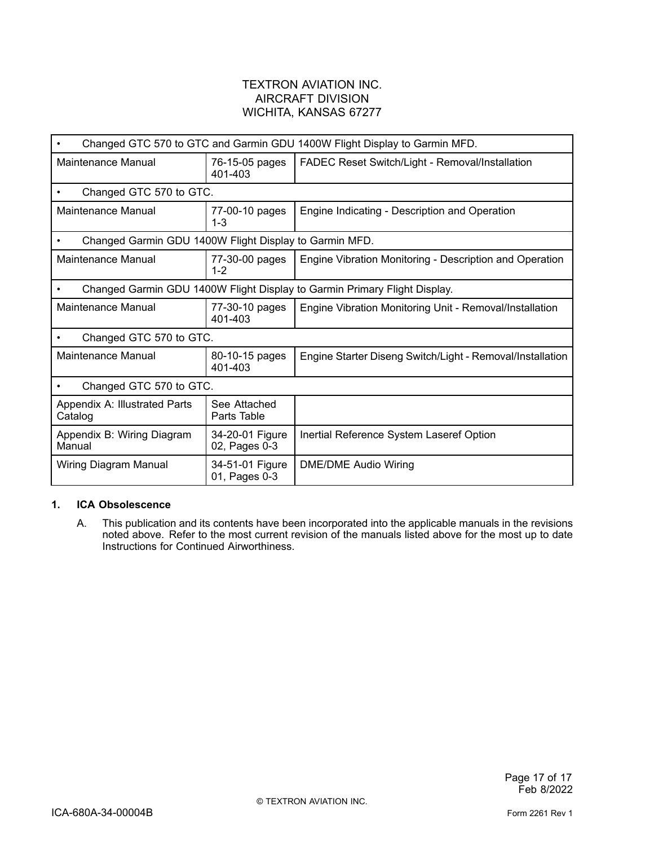| Changed GTC 570 to GTC and Garmin GDU 1400W Flight Display to Garmin MFD. |                                  |                                                           |  |
|---------------------------------------------------------------------------|----------------------------------|-----------------------------------------------------------|--|
| Maintenance Manual                                                        | 76-15-05 pages<br>401-403        | FADEC Reset Switch/Light - Removal/Installation           |  |
| Changed GTC 570 to GTC.                                                   |                                  |                                                           |  |
| Maintenance Manual                                                        | 77-00-10 pages<br>$1 - 3$        | Engine Indicating - Description and Operation             |  |
| Changed Garmin GDU 1400W Flight Display to Garmin MFD.                    |                                  |                                                           |  |
| Maintenance Manual                                                        | 77-30-00 pages<br>$1 - 2$        | Engine Vibration Monitoring - Description and Operation   |  |
| Changed Garmin GDU 1400W Flight Display to Garmin Primary Flight Display. |                                  |                                                           |  |
| Maintenance Manual                                                        | 77-30-10 pages<br>401-403        | Engine Vibration Monitoring Unit - Removal/Installation   |  |
| Changed GTC 570 to GTC.                                                   |                                  |                                                           |  |
| Maintenance Manual                                                        | 80-10-15 pages<br>401-403        | Engine Starter Diseng Switch/Light - Removal/Installation |  |
| Changed GTC 570 to GTC.                                                   |                                  |                                                           |  |
| Appendix A: Illustrated Parts<br>Catalog                                  | See Attached<br>Parts Table      |                                                           |  |
| Appendix B: Wiring Diagram<br>Manual                                      | 34-20-01 Figure<br>02, Pages 0-3 | Inertial Reference System Laseref Option                  |  |
| Wiring Diagram Manual                                                     | 34-51-01 Figure<br>01, Pages 0-3 | <b>DME/DME Audio Wiring</b>                               |  |

#### **1. ICA Obsolescence**

A. This publication and its contents have been incorporated into the applicable manuals in the revisions noted above. Refer to the most current revision of the manuals listed above for the most up to date Instructions for Continued Airworthiness.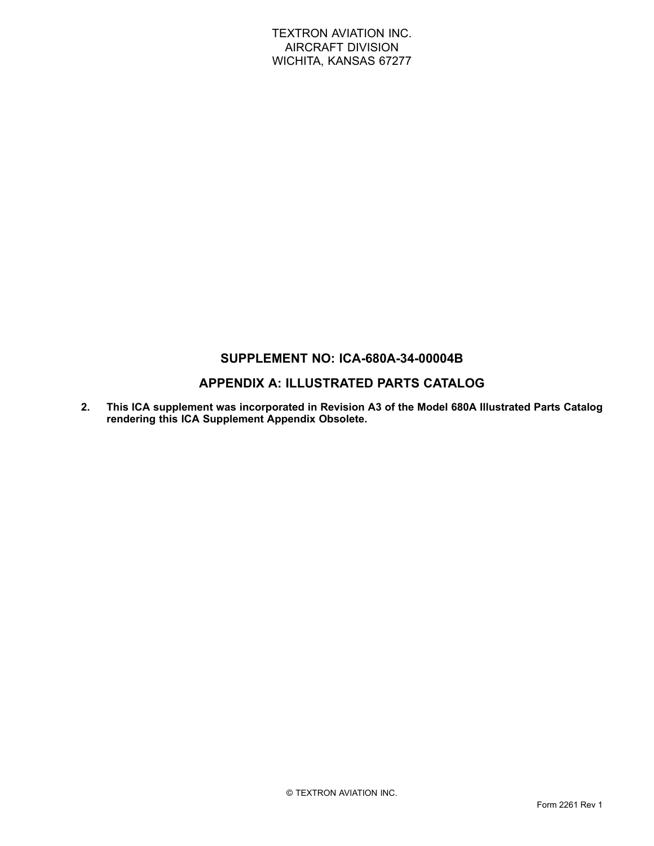# **SUPPLEMENT NO: ICA-680A-34-00004B**

# **APPENDIX A: ILLUSTRATED PARTS CATALOG**

**2. This ICA supplement was incorporated in Revision A3 of the Model 680A Illustrated Parts Catalog rendering this ICA Supplement Appendix Obsolete.**